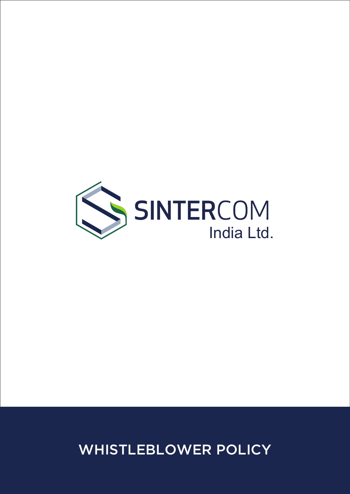

# WHISTLEBLOWER POLICY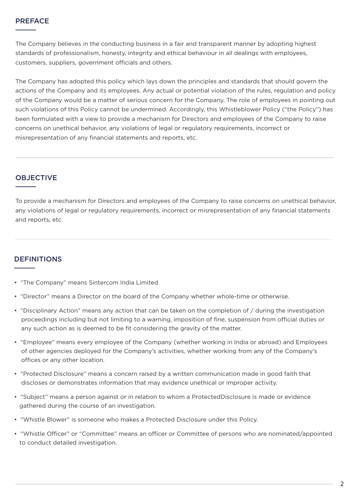#### PREFACE

The Company believes in the conducting business in a fair and transparent manner by adopting highest standards of professionalism, honesty, integrity and ethical behaviour in all dealings with employees, customers, suppliers, government officials and others.

The Company has adopted this policy which lays down the principles and standards that should govern the actions of the Company and its employees. Any actual or potential violation of the rules, regulation and policy of the Company would be a matter of serious concern for the Company. The role of employees in pointing out such violations of this Policy cannot be undermined. Accordingly, this Whistleblower Policy ("the Policy") has been formulated with a view to provide a mechanism for Directors and employees of the Company to raise concerns on unethical behavior, any violations of legal or regulatory requirements, incorrect or misrepresentation of any financial statements and reports, etc.

#### **OBJECTIVE**

To provide a mechanism for Directors and employees of the Company to raise concerns on unethical behavior, any violations of legal or regulatory requirements, incorrect or misrepresentation of any financial statements and reports, etc.

## DEFINITIONS

- "The Company" means Sintercom India Limited
- "Director" means a Director on the board of the Company whether whole-time or otherwise.
- "Disciplinary Action" means any action that can be taken on the completion of / during the investigation proceedings including but not limiting to a warning, imposition of fine, suspension from official duties or any such action as is deemed to be fit considering the gravity of the matter.
- "Employee" means every employee of the Company (whether working in India or abroad) and Employees of other agencies deployed for the Company's activities, whether working from any of the Company's offices or any other location.
- "Protected Disclosure" means a concern raised by a written communication made in good faith that discloses or demonstrates information that may evidence unethical or improper activity.
- "Subject" means a person against or in relation to whom a ProtectedDisclosure is made or evidence gathered during the course of an investigation.
- "Whistle Blower" is someone who makes a Protected Disclosure under this Policy.
- "Whistle Officer" or "Committee" means an officer or Committee of persons who are nominated/appointed to conduct detailed investigation.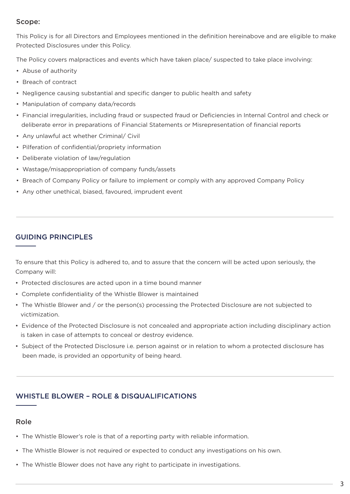#### Scope:

This Policy is for all Directors and Employees mentioned in the definition hereinabove and are eligible to make Protected Disclosures under this Policy.

The Policy covers malpractices and events which have taken place/ suspected to take place involving:

- Abuse of authority
- Breach of contract
- Negligence causing substantial and specific danger to public health and safety
- Manipulation of company data/records
- Financial irregularities, including fraud or suspected fraud or Deficiencies in Internal Control and check or deliberate error in preparations of Financial Statements or Misrepresentation of financial reports
- Any unlawful act whether Criminal/ Civil
- Pilferation of confidential/propriety information
- Deliberate violation of law/regulation
- Wastage/misappropriation of company funds/assets
- Breach of Company Policy or failure to implement or comply with any approved Company Policy
- Any other unethical, biased, favoured, imprudent event

#### GUIDING PRINCIPLES

To ensure that this Policy is adhered to, and to assure that the concern will be acted upon seriously, the Company will:

- Protected disclosures are acted upon in a time bound manner
- Complete confidentiality of the Whistle Blower is maintained
- The Whistle Blower and / or the person(s) processing the Protected Disclosure are not subjected to victimization.
- Evidence of the Protected Disclosure is not concealed and appropriate action including disciplinary action is taken in case of attempts to conceal or destroy evidence.
- Subject of the Protected Disclosure i.e. person against or in relation to whom a protected disclosure has been made, is provided an opportunity of being heard.

## WHISTLE BLOWER – ROLE & DISQUALIFICATIONS

## Role

- The Whistle Blower's role is that of a reporting party with reliable information.
- The Whistle Blower is not required or expected to conduct any investigations on his own.
- The Whistle Blower does not have any right to participate in investigations.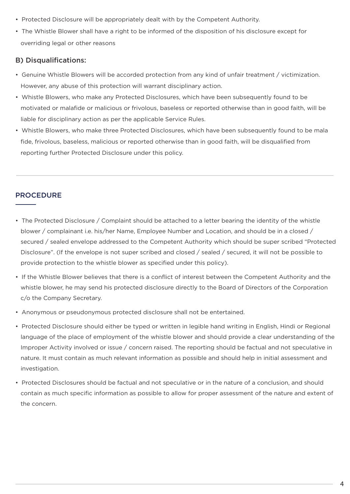- Protected Disclosure will be appropriately dealt with by the Competent Authority.
- The Whistle Blower shall have a right to be informed of the disposition of his disclosure except for overriding legal or other reasons

## B) Disqualifications:

- Genuine Whistle Blowers will be accorded protection from any kind of unfair treatment / victimization. However, any abuse of this protection will warrant disciplinary action.
- Whistle Blowers, who make any Protected Disclosures, which have been subsequently found to be motivated or malafide or malicious or frivolous, baseless or reported otherwise than in good faith, will be liable for disciplinary action as per the applicable Service Rules.
- Whistle Blowers, who make three Protected Disclosures, which have been subsequently found to be mala fide, frivolous, baseless, malicious or reported otherwise than in good faith, will be disqualified from reporting further Protected Disclosure under this policy.

## PROCEDURE

- The Protected Disclosure / Complaint should be attached to a letter bearing the identity of the whistle blower / complainant i.e. his/her Name, Employee Number and Location, and should be in a closed / secured / sealed envelope addressed to the Competent Authority which should be super scribed "Protected Disclosure". (If the envelope is not super scribed and closed / sealed / secured, it will not be possible to provide protection to the whistle blower as specified under this policy).
- If the Whistle Blower believes that there is a conflict of interest between the Competent Authority and the whistle blower, he may send his protected disclosure directly to the Board of Directors of the Corporation c/o the Company Secretary.
- Anonymous or pseudonymous protected disclosure shall not be entertained.
- Protected Disclosure should either be typed or written in legible hand writing in English, Hindi or Regional language of the place of employment of the whistle blower and should provide a clear understanding of the Improper Activity involved or issue / concern raised. The reporting should be factual and not speculative in nature. It must contain as much relevant information as possible and should help in initial assessment and investigation.
- Protected Disclosures should be factual and not speculative or in the nature of a conclusion, and should contain as much specific information as possible to allow for proper assessment of the nature and extent of the concern.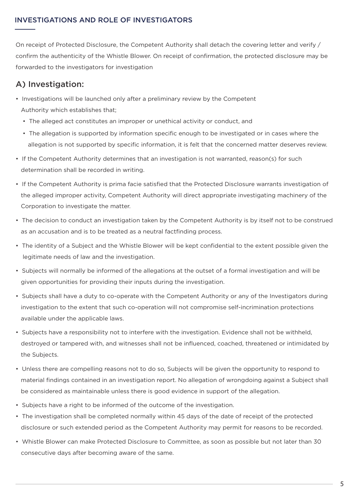## INVESTIGATIONS AND ROLE OF INVESTIGATORS

On receipt of Protected Disclosure, the Competent Authority shall detach the covering letter and verify / confirm the authenticity of the Whistle Blower. On receipt of confirmation, the protected disclosure may be forwarded to the investigators for investigation

## A) Investigation:

- Investigations will be launched only after a preliminary review by the Competent Authority which establishes that;
	- The alleged act constitutes an improper or unethical activity or conduct, and
	- The allegation is supported by information specific enough to be investigated or in cases where the allegation is not supported by specific information, it is felt that the concerned matter deserves review.
- If the Competent Authority determines that an investigation is not warranted, reason(s) for such determination shall be recorded in writing.
- If the Competent Authority is prima facie satisfied that the Protected Disclosure warrants investigation of the alleged improper activity, Competent Authority will direct appropriate investigating machinery of the Corporation to investigate the matter.
- The decision to conduct an investigation taken by the Competent Authority is by itself not to be construed as an accusation and is to be treated as a neutral factfinding process.
- The identity of a Subject and the Whistle Blower will be kept confidential to the extent possible given the legitimate needs of law and the investigation.
- Subjects will normally be informed of the allegations at the outset of a formal investigation and will be given opportunities for providing their inputs during the investigation.
- Subjects shall have a duty to co-operate with the Competent Authority or any of the Investigators during investigation to the extent that such co-operation will not compromise self-incrimination protections available under the applicable laws.
- Subjects have a responsibility not to interfere with the investigation. Evidence shall not be withheld, destroyed or tampered with, and witnesses shall not be influenced, coached, threatened or intimidated by the Subjects.
- Unless there are compelling reasons not to do so, Subjects will be given the opportunity to respond to material findings contained in an investigation report. No allegation of wrongdoing against a Subject shall be considered as maintainable unless there is good evidence in support of the allegation.
- Subjects have a right to be informed of the outcome of the investigation.
- The investigation shall be completed normally within 45 days of the date of receipt of the protected disclosure or such extended period as the Competent Authority may permit for reasons to be recorded.
- Whistle Blower can make Protected Disclosure to Committee, as soon as possible but not later than 30 consecutive days after becoming aware of the same.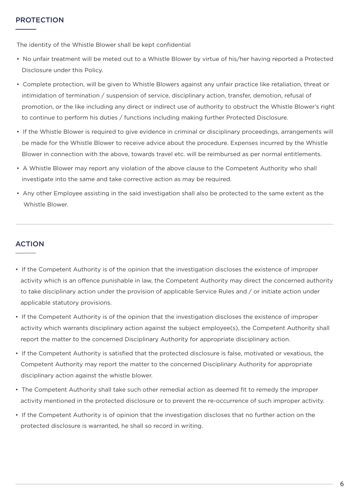The identity of the Whistle Blower shall be kept confidential

- No unfair treatment will be meted out to a Whistle Blower by virtue of his/her having reported a Protected Disclosure under this Policy.
- Complete protection, will be given to Whistle Blowers against any unfair practice like retaliation, threat or intimidation of termination / suspension of service, disciplinary action, transfer, demotion, refusal of promotion, or the like including any direct or indirect use of authority to obstruct the Whistle Blower's right to continue to perform his duties / functions including making further Protected Disclosure.
- If the Whistle Blower is required to give evidence in criminal or disciplinary proceedings, arrangements will be made for the Whistle Blower to receive advice about the procedure. Expenses incurred by the Whistle Blower in connection with the above, towards travel etc. will be reimbursed as per normal entitlements.
- A Whistle Blower may report any violation of the above clause to the Competent Authority who shall investigate into the same and take corrective action as may be required.
- Any other Employee assisting in the said investigation shall also be protected to the same extent as the Whistle Blower.

## ACTION

- If the Competent Authority is of the opinion that the investigation discloses the existence of improper activity which is an offence punishable in law, the Competent Authority may direct the concerned authority to take disciplinary action under the provision of applicable Service Rules and / or initiate action under applicable statutory provisions.
- If the Competent Authority is of the opinion that the investigation discloses the existence of improper activity which warrants disciplinary action against the subject employee(s), the Competent Authority shall report the matter to the concerned Disciplinary Authority for appropriate disciplinary action.
- If the Competent Authority is satisfied that the protected disclosure is false, motivated or vexatious, the Competent Authority may report the matter to the concerned Disciplinary Authority for appropriate disciplinary action against the whistle blower.
- The Competent Authority shall take such other remedial action as deemed fit to remedy the improper activity mentioned in the protected disclosure or to prevent the re-occurrence of such improper activity.
- If the Competent Authority is of opinion that the investigation discloses that no further action on the protected disclosure is warranted, he shall so record in writing.